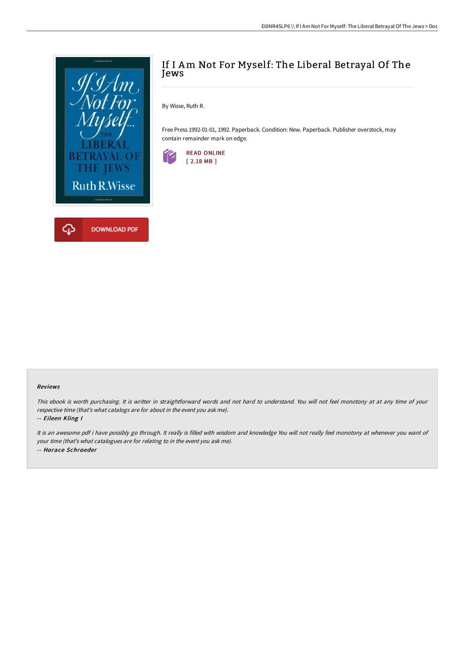

# If I Am Not For Myself: The Liberal Betrayal Of The Jews

By Wisse, Ruth R.

Free Press 1992-01-01, 1992. Paperback. Condition: New. Paperback. Publisher overstock, may contain remainder mark on edge.



#### Reviews

This ebook is worth purchasing. It is writter in straightforward words and not hard to understand. You will not feel monotony at at any time of your respective time (that's what catalogs are for about in the event you ask me).

-- Eileen Kling I

It is an awesome pdf i have possibly go through. It really is filled with wisdom and knowledge You will not really feel monotony at whenever you want of your time (that's what catalogues are for relating to in the event you ask me). -- Horace Schroeder